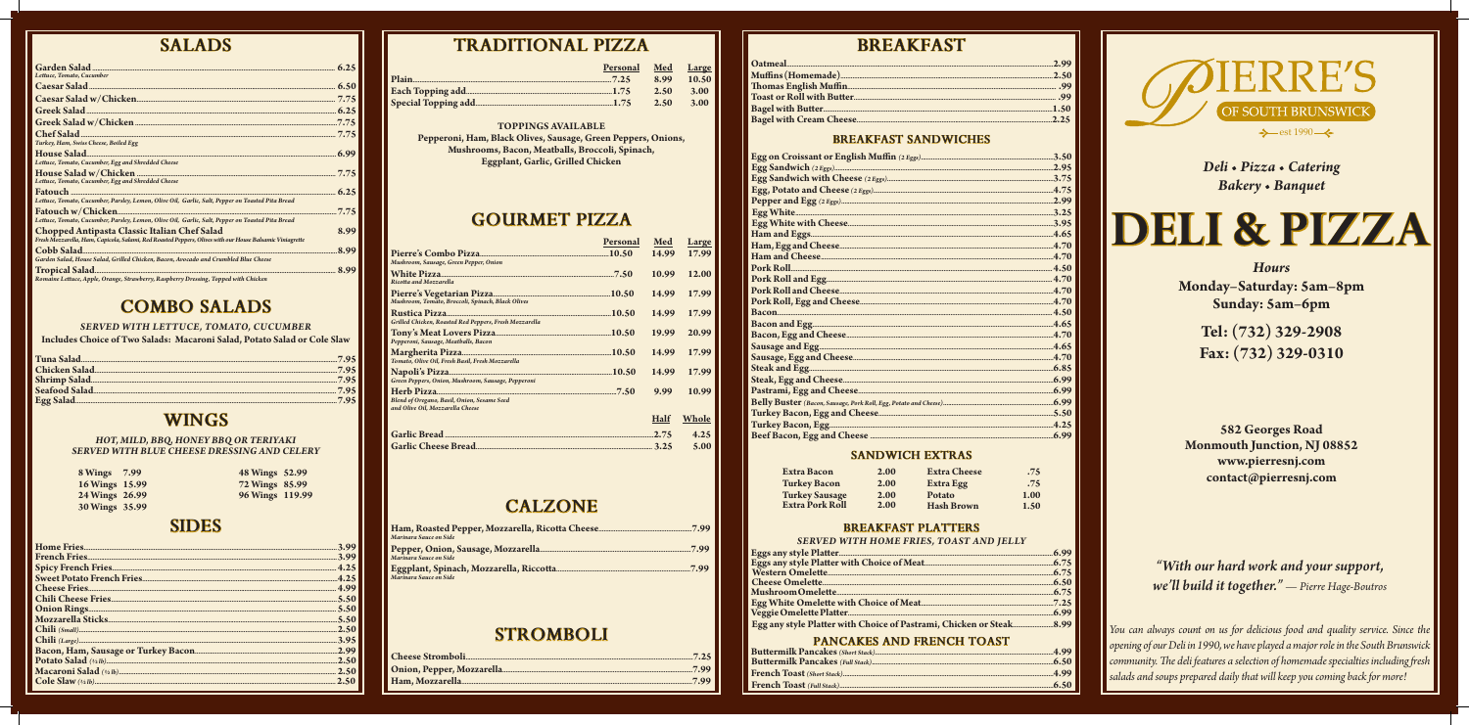## **SALADS**

| Lettuce, Tomato, Cucumber                                                                                                                                       |      |
|-----------------------------------------------------------------------------------------------------------------------------------------------------------------|------|
|                                                                                                                                                                 |      |
|                                                                                                                                                                 |      |
|                                                                                                                                                                 |      |
|                                                                                                                                                                 |      |
| Turkey, Ham, Swiss Cheese, Boiled Egg                                                                                                                           |      |
| Lettuce, Tomato, Cucumber, Egg and Shredded Cheese                                                                                                              |      |
| Lettuce, Tomato, Cucumber, Egg and Shredded Cheese                                                                                                              |      |
| Lettuce, Tomato, Cucumber, Parsley, Lemon, Olive Oil, Garlic, Salt, Pepper on Toasted Pita Bread                                                                | 6.25 |
| Lettuce, Tomato, Cucumber, Parsley, Lemon, Olive Oil, Garlic, Salt, Pepper on Toasted Pita Bread                                                                | 7.75 |
| <b>Chopped Antipasta Classic Italian Chef Salad</b><br>Fresh Mozzarella, Ham, Capicola, Salami, Red Roasted Peppers, Olives with our House Balsamic Viniagrette | 8.99 |
| Garden Salad, House Salad, Grilled Chicken, Bacon, Avocado and Crumbled Blue Cheese                                                                             | 8.99 |
| Romaine Lettuce, Apple, Orange, Strawberry, Raspberry Dressing, Topped with Chicken                                                                             | 8.99 |

## **COMBO SALADS**

#### SERVED WITH LETTUCE, TOMATO, CUCUMBER

Includes Choice of Two Salads: Macaroni Salad, Potato Salad or Cole Slaw

### **WINGS**

# HOT, MILD, BBQ, HONEY BBQ OR TERIYAKI<br>SERVED WITH BLUE CHEESE DRESSING AND CELERY

| 8 Wings 7.99   | 48 Wings 52.99  |  |
|----------------|-----------------|--|
| 16 Wings 15.99 | 72 Wings 85.99  |  |
| 24 Wings 26.99 | 96 Wings 119.99 |  |
| 30 Wings 35.99 |                 |  |

### **SIDES**

## **TRADITIONAL PIZZA**

Plain

Each Topping add.

**Special Topping add** 

| Personal | Med  | <b>Large</b> |
|----------|------|--------------|
|          | 8.99 | 10.50        |
|          | 2.50 | <b>3.00</b>  |
|          | 2.50 | 3.00         |
|          |      |              |

#### **TOPPINGS AVAILABLE**

Pepperoni, Ham, Black Olives, Sausage, Green Peppers, Onions, Mushrooms, Bacon, Meatballs, Broccoli, Spinach, **Eggplant, Garlic, Grilled Chicken** 

## **GOURMET PIZZA**

|                                                                                 | <b>Personal</b> | Med         | Large |
|---------------------------------------------------------------------------------|-----------------|-------------|-------|
| Mushroom, Sausage, Green Pepper, Onion                                          |                 | 14.99       | 17.99 |
| Ricotta and Mozzarella                                                          |                 | 10.99       | 12.00 |
| Mushroom, Tomato, Broccoli, Spinach, Black Olives                               |                 | 14.99       | 17.99 |
| Grilled Chicken, Roasted Red Peppers, Fresh Mozzarella                          |                 | 14.99       | 17.99 |
| Pepperoni, Sausage, Meatballs, Bacon                                            |                 | 19.99       | 20.99 |
| Tomato, Olive Oil, Fresh Basil, Fresh Mozzarella                                |                 | 14.99       | 17.99 |
| Green Peppers, Onion, Mushroom, Sausage, Pepperoni                              |                 | 14.99       | 17.99 |
| Blend of Oregano, Basil, Onion, Sesame Seed<br>and Olive Oil, Mozzarella Cheese |                 | 9.99        | 10.99 |
|                                                                                 |                 | <b>Half</b> | Whole |
|                                                                                 |                 |             | 4.25  |
|                                                                                 |                 |             | 5.00  |

### **CALZONE**

| Marinara Sauce on Side |  |
|------------------------|--|
|                        |  |
| Marinara Sauce on Side |  |
| Marinara Sauce on Side |  |

### **STROMBOLI**

Oatmea Muffins **Thomas Toast of Bagel w** Bagel wi

Egg on <mark>(</mark> **Egg San** Egg San Pepper Egg Whi Ham an Ham, Eg Ham an Pork Ro Pork Ro Pork Ro Pork Ro Bacon.... Bacon a Bacon, l Sausage **Sausage** Steak an Steak, E Pastram **Belly Bu** Turkey l Turkey l Beef Ba

Eggs any<br>Eggs any<br>Western **Cheese** Mushro Egg Whi<br>Veggie C **Egg** any

**Buttern Butterm** French' French

## **BREAKFAST**

#### **BREAKFAST SANDWICHES**

| $\textsf{user}\left( \textit{Bacon}, \textit{Sausage}, \textit{Pork}\ \textit{Roll}, \textit{Egg}, \textit{Potato}\ \textit{and}\ \textit{Cheese} \right) \textsf{}{\textsf{}{\textsf{}{\textsf{}{\textsf{}{\textsf{}{\textsf{}{\textsf{}{\textsf{}{\textsf{}{\textsf{}{\textsf{}}}}}}}}}} \textsf{} \textsf{} \textsf{} \textsf{} \textsf{} \textsf{} \textsf{} \textsf{} \textsf{} \textsf{} \textsf{} \textsf{} \textsf{$ |  |
|------------------------------------------------------------------------------------------------------------------------------------------------------------------------------------------------------------------------------------------------------------------------------------------------------------------------------------------------------------------------------------------------------------------------------|--|
|                                                                                                                                                                                                                                                                                                                                                                                                                              |  |
|                                                                                                                                                                                                                                                                                                                                                                                                                              |  |
|                                                                                                                                                                                                                                                                                                                                                                                                                              |  |

#### **SANDWICH EXTRAS**

| Extra Bacon            | 2.00 | <b>Extra Cheese</b> | .75  |
|------------------------|------|---------------------|------|
| <b>Turkey Bacon</b>    | 2.00 | <b>Extra Egg</b>    | .75  |
| <b>Turkey Sausage</b>  | 2.00 | <b>Potato</b>       | 1.00 |
| <b>Extra Pork Roll</b> | 2.00 | <b>Hash Brown</b>   | 1.50 |

#### **BREAKFAST PLATTERS**

#### SERVED WITH HOME FRIES, TOAST AND JELLY

#### PANCAKES AND FRENCH TOAST



Deli · Pizza · Catering **Bakery** · Banquet

DELI & PIZZA

**Hours** Monday-Saturday: 5am-8pm Sunday: 5am-6pm

> Tel: (732) 329-2908 Fax: (732) 329-0310

582 Georges Road Monmouth Junction, NJ 08852 www.pierresnj.com contact@pierresnj.com

"With our hard work and your support, we'll build it together." - Pierre Hage-Boutros

You can always count on us for delicious food and quality service. Since the opening of our Deli in 1990, we have played a major role in the South Brunswick community. The deli features a selection of homemade specialties including fresh salads and soups prepared daily that will keep you coming back for more!